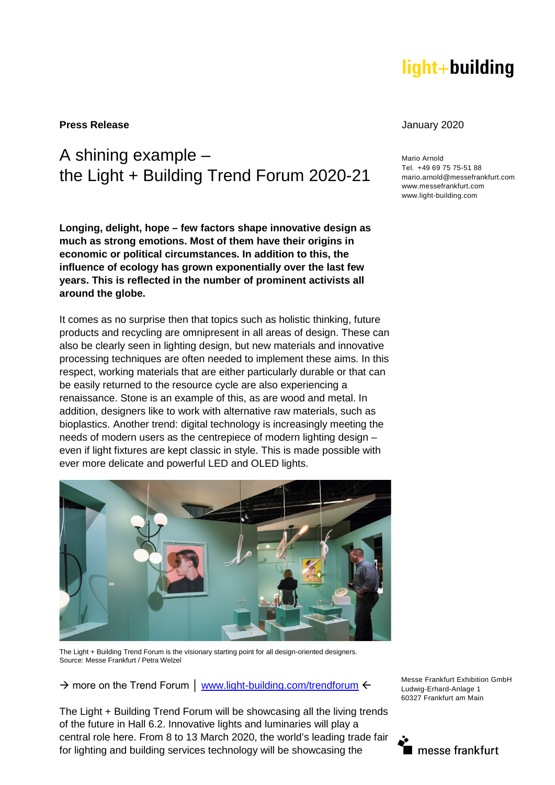# light+building

**Press Release** January 2020

## A shining example – the Light + Building Trend Forum 2020-21

**Longing, delight, hope – few factors shape innovative design as much as strong emotions. Most of them have their origins in economic or political circumstances. In addition to this, the influence of ecology has grown exponentially over the last few years. This is reflected in the number of prominent activists all around the globe.** 

It comes as no surprise then that topics such as holistic thinking, future products and recycling are omnipresent in all areas of design. These can also be clearly seen in lighting design, but new materials and innovative processing techniques are often needed to implement these aims. In this respect, working materials that are either particularly durable or that can be easily returned to the resource cycle are also experiencing a renaissance. Stone is an example of this, as are wood and metal. In addition, designers like to work with alternative raw materials, such as bioplastics. Another trend: digital technology is increasingly meeting the needs of modern users as the centrepiece of modern lighting design – even if light fixtures are kept classic in style. This is made possible with ever more delicate and powerful LED and OLED lights.



The Light + Building Trend Forum is the visionary starting point for all design-oriented designers. Source: Messe Frankfurt / Petra Welzel

→ more on the Trend Forum | [www.light-building.com/trendforum](http://www.light-building.com/trendforum)  $\leftarrow$ 

The Light + Building Trend Forum will be showcasing all the living trends of the future in Hall 6.2. Innovative lights and luminaries will play a central role here. From 8 to 13 March 2020, the world's leading trade fair for lighting and building services technology will be showcasing the

Mario Arnold Tel. +49 69 75 75-51 88 mario.arnold@messefrankfurt.com www.messefrankfurt.com www.light-building.com



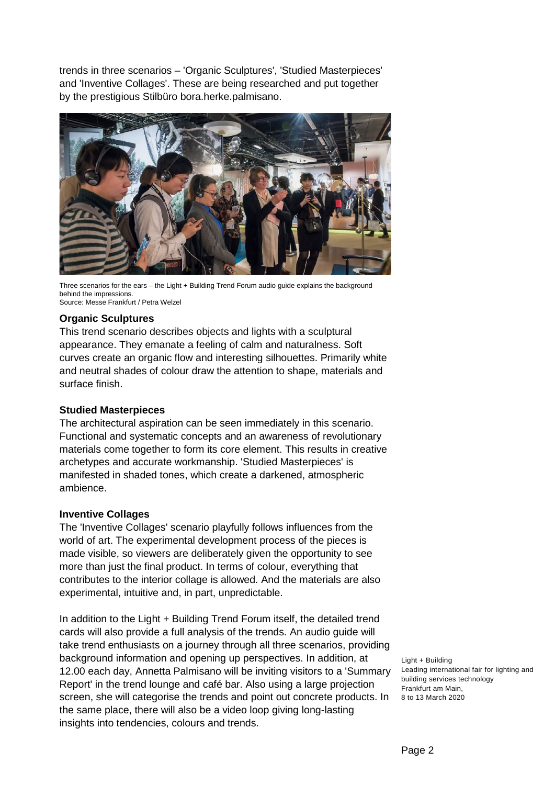trends in three scenarios – 'Organic Sculptures', 'Studied Masterpieces' and 'Inventive Collages'. These are being researched and put together by the prestigious Stilbüro bora.herke.palmisano.



Three scenarios for the ears – the Light + Building Trend Forum audio guide explains the background behind the impressions. Source: Messe Frankfurt / Petra Welzel

### **Organic Sculptures**

This trend scenario describes objects and lights with a sculptural appearance. They emanate a feeling of calm and naturalness. Soft curves create an organic flow and interesting silhouettes. Primarily white and neutral shades of colour draw the attention to shape, materials and surface finish.

#### **Studied Masterpieces**

The architectural aspiration can be seen immediately in this scenario. Functional and systematic concepts and an awareness of revolutionary materials come together to form its core element. This results in creative archetypes and accurate workmanship. 'Studied Masterpieces' is manifested in shaded tones, which create a darkened, atmospheric ambience.

#### **Inventive Collages**

The 'Inventive Collages' scenario playfully follows influences from the world of art. The experimental development process of the pieces is made visible, so viewers are deliberately given the opportunity to see more than just the final product. In terms of colour, everything that contributes to the interior collage is allowed. And the materials are also experimental, intuitive and, in part, unpredictable.

screen, she will categorise the trends and point out concrete products. In 8 to 13 March 2020 In addition to the Light + Building Trend Forum itself, the detailed trend cards will also provide a full analysis of the trends. An audio guide will take trend enthusiasts on a journey through all three scenarios, providing background information and opening up perspectives. In addition, at 12.00 each day, Annetta Palmisano will be inviting visitors to a 'Summary Report' in the trend lounge and café bar. Also using a large projection the same place, there will also be a video loop giving long-lasting insights into tendencies, colours and trends.

Light + Building Leading international fair for lighting and building services technology Frankfurt am Main,